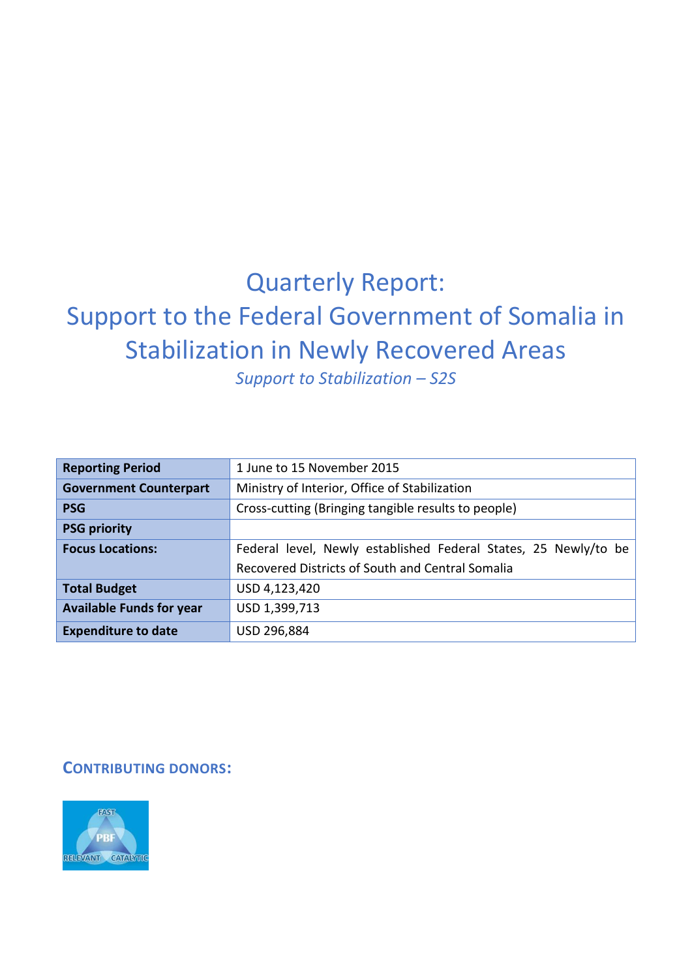# Quarterly Report: Support to the Federal Government of Somalia in Stabilization in Newly Recovered Areas

*Support to Stabilization – S2S*

| <b>Reporting Period</b>         | 1 June to 15 November 2015                                      |
|---------------------------------|-----------------------------------------------------------------|
| <b>Government Counterpart</b>   | Ministry of Interior, Office of Stabilization                   |
| <b>PSG</b>                      | Cross-cutting (Bringing tangible results to people)             |
| <b>PSG priority</b>             |                                                                 |
| <b>Focus Locations:</b>         | Federal level, Newly established Federal States, 25 Newly/to be |
|                                 | Recovered Districts of South and Central Somalia                |
| <b>Total Budget</b>             | USD 4,123,420                                                   |
| <b>Available Funds for year</b> | USD 1,399,713                                                   |
| <b>Expenditure to date</b>      | USD 296,884                                                     |

#### **CONTRIBUTING DONORS:**

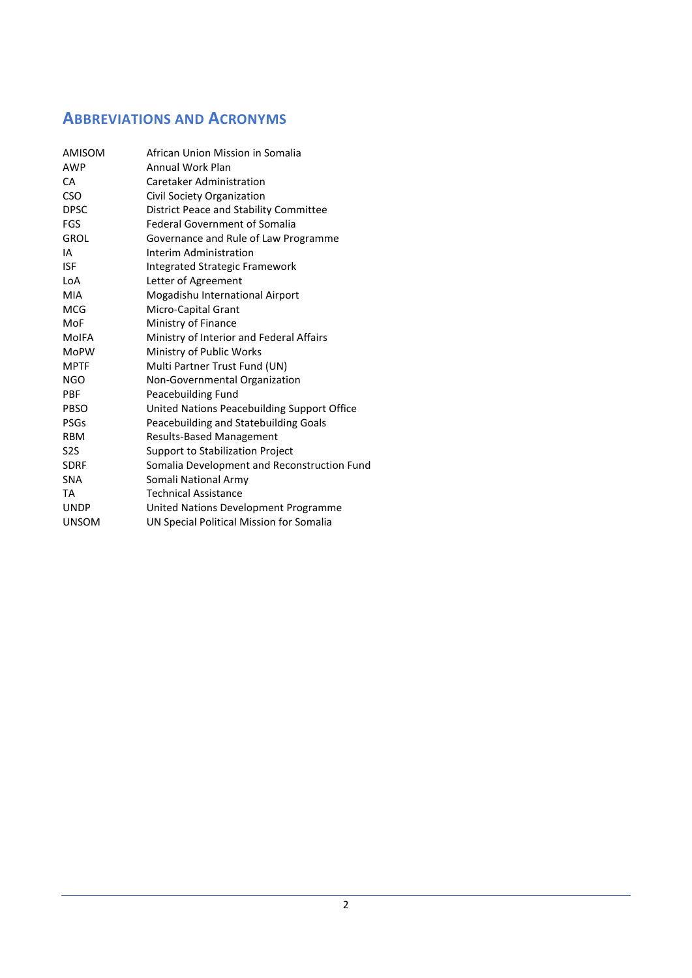### **ABBREVIATIONS AND ACRONYMS**

| AMISOM           | African Union Mission in Somalia            |
|------------------|---------------------------------------------|
| <b>AWP</b>       | <b>Annual Work Plan</b>                     |
| СA               | Caretaker Administration                    |
| <b>CSO</b>       | Civil Society Organization                  |
| <b>DPSC</b>      | District Peace and Stability Committee      |
| FGS              | <b>Federal Government of Somalia</b>        |
| <b>GROL</b>      | Governance and Rule of Law Programme        |
| IA               | Interim Administration                      |
| <b>ISF</b>       | <b>Integrated Strategic Framework</b>       |
| LoA              | Letter of Agreement                         |
| MIA              | Mogadishu International Airport             |
| <b>MCG</b>       | <b>Micro-Capital Grant</b>                  |
| MoF              | Ministry of Finance                         |
| <b>MoIFA</b>     | Ministry of Interior and Federal Affairs    |
| <b>MoPW</b>      | Ministry of Public Works                    |
| MPTF             | Multi Partner Trust Fund (UN)               |
| <b>NGO</b>       | Non-Governmental Organization               |
| PBF              | Peacebuilding Fund                          |
| <b>PBSO</b>      | United Nations Peacebuilding Support Office |
| <b>PSGs</b>      | Peacebuilding and Statebuilding Goals       |
| <b>RBM</b>       | <b>Results-Based Management</b>             |
| S <sub>2</sub> S | <b>Support to Stabilization Project</b>     |
| <b>SDRF</b>      | Somalia Development and Reconstruction Fund |
| <b>SNA</b>       | Somali National Army                        |
| TA               | <b>Technical Assistance</b>                 |
| <b>UNDP</b>      | United Nations Development Programme        |
| <b>UNSOM</b>     | UN Special Political Mission for Somalia    |
|                  |                                             |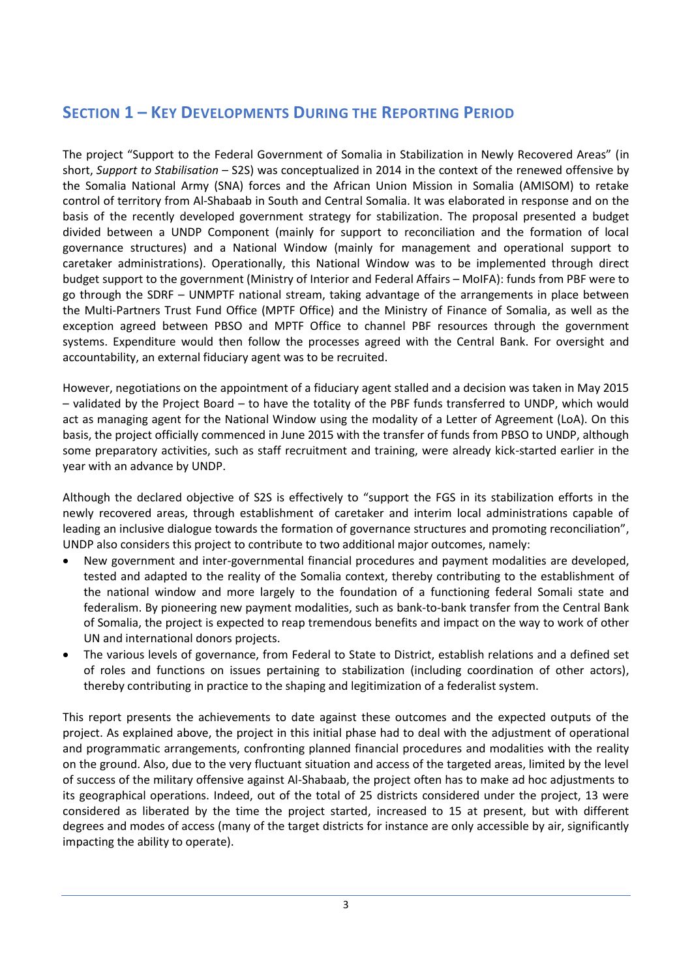### **SECTION 1 – KEY DEVELOPMENTS DURING THE REPORTING PERIOD**

The project "Support to the Federal Government of Somalia in Stabilization in Newly Recovered Areas" (in short, *Support to Stabilisation* – S2S) was conceptualized in 2014 in the context of the renewed offensive by the Somalia National Army (SNA) forces and the African Union Mission in Somalia (AMISOM) to retake control of territory from Al-Shabaab in South and Central Somalia. It was elaborated in response and on the basis of the recently developed government strategy for stabilization. The proposal presented a budget divided between a UNDP Component (mainly for support to reconciliation and the formation of local governance structures) and a National Window (mainly for management and operational support to caretaker administrations). Operationally, this National Window was to be implemented through direct budget support to the government (Ministry of Interior and Federal Affairs – MoIFA): funds from PBF were to go through the SDRF – UNMPTF national stream, taking advantage of the arrangements in place between the Multi-Partners Trust Fund Office (MPTF Office) and the Ministry of Finance of Somalia, as well as the exception agreed between PBSO and MPTF Office to channel PBF resources through the government systems. Expenditure would then follow the processes agreed with the Central Bank. For oversight and accountability, an external fiduciary agent was to be recruited.

However, negotiations on the appointment of a fiduciary agent stalled and a decision was taken in May 2015 – validated by the Project Board – to have the totality of the PBF funds transferred to UNDP, which would act as managing agent for the National Window using the modality of a Letter of Agreement (LoA). On this basis, the project officially commenced in June 2015 with the transfer of funds from PBSO to UNDP, although some preparatory activities, such as staff recruitment and training, were already kick-started earlier in the year with an advance by UNDP.

Although the declared objective of S2S is effectively to "support the FGS in its stabilization efforts in the newly recovered areas, through establishment of caretaker and interim local administrations capable of leading an inclusive dialogue towards the formation of governance structures and promoting reconciliation", UNDP also considers this project to contribute to two additional major outcomes, namely:

- New government and inter-governmental financial procedures and payment modalities are developed, tested and adapted to the reality of the Somalia context, thereby contributing to the establishment of the national window and more largely to the foundation of a functioning federal Somali state and federalism. By pioneering new payment modalities, such as bank-to-bank transfer from the Central Bank of Somalia, the project is expected to reap tremendous benefits and impact on the way to work of other UN and international donors projects.
- The various levels of governance, from Federal to State to District, establish relations and a defined set of roles and functions on issues pertaining to stabilization (including coordination of other actors), thereby contributing in practice to the shaping and legitimization of a federalist system.

This report presents the achievements to date against these outcomes and the expected outputs of the project. As explained above, the project in this initial phase had to deal with the adjustment of operational and programmatic arrangements, confronting planned financial procedures and modalities with the reality on the ground. Also, due to the very fluctuant situation and access of the targeted areas, limited by the level of success of the military offensive against Al-Shabaab, the project often has to make ad hoc adjustments to its geographical operations. Indeed, out of the total of 25 districts considered under the project, 13 were considered as liberated by the time the project started, increased to 15 at present, but with different degrees and modes of access (many of the target districts for instance are only accessible by air, significantly impacting the ability to operate).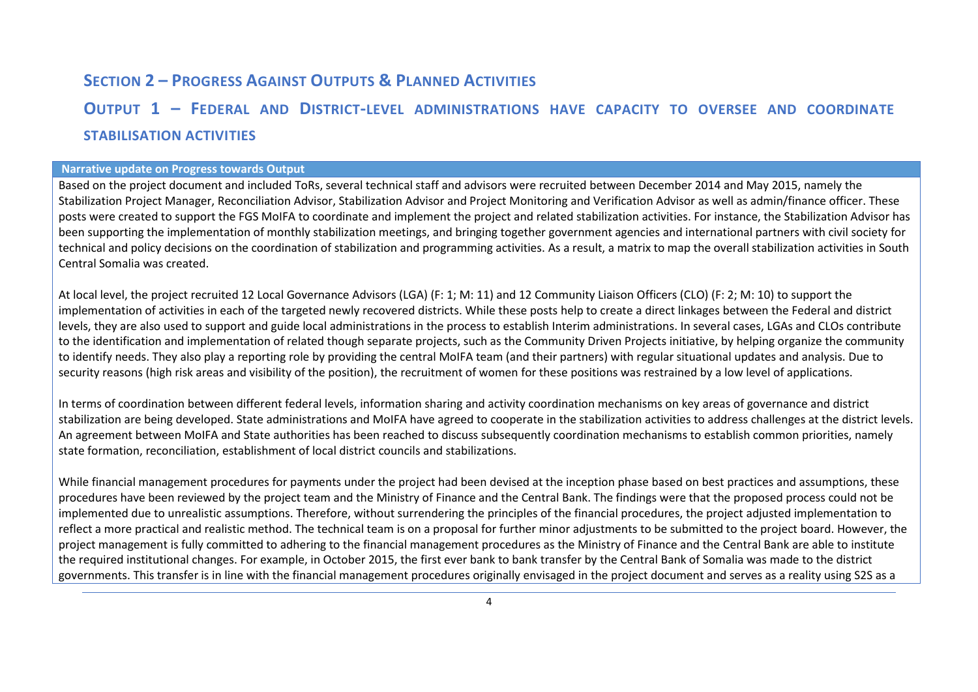### **SECTION 2 – PROGRESS AGAINST OUTPUTS & PLANNED ACTIVITIES**

### **OUTPUT 1 – FEDERAL AND DISTRICT-LEVEL ADMINISTRATIONS HAVE CAPACITY TO OVERSEE AND COORDINATE STABILISATION ACTIVITIES**

#### **Narrative update on Progress towards Output**

Based on the project document and included ToRs, several technical staff and advisors were recruited between December 2014 and May 2015, namely the Stabilization Project Manager, Reconciliation Advisor, Stabilization Advisor and Project Monitoring and Verification Advisor as well as admin/finance officer. These posts were created to support the FGS MoIFA to coordinate and implement the project and related stabilization activities. For instance, the Stabilization Advisor has been supporting the implementation of monthly stabilization meetings, and bringing together government agencies and international partners with civil society for technical and policy decisions on the coordination of stabilization and programming activities. As a result, a matrix to map the overall stabilization activities in South Central Somalia was created.

At local level, the project recruited 12 Local Governance Advisors (LGA) (F: 1; M: 11) and 12 Community Liaison Officers (CLO) (F: 2; M: 10) to support the implementation of activities in each of the targeted newly recovered districts. While these posts help to create a direct linkages between the Federal and district levels, they are also used to support and guide local administrations in the process to establish Interim administrations. In several cases, LGAs and CLOs contribute to the identification and implementation of related though separate projects, such as the Community Driven Projects initiative, by helping organize the community to identify needs. They also play a reporting role by providing the central MoIFA team (and their partners) with regular situational updates and analysis. Due to security reasons (high risk areas and visibility of the position), the recruitment of women for these positions was restrained by a low level of applications.

In terms of coordination between different federal levels, information sharing and activity coordination mechanisms on key areas of governance and district stabilization are being developed. State administrations and MoIFA have agreed to cooperate in the stabilization activities to address challenges at the district levels. An agreement between MoIFA and State authorities has been reached to discuss subsequently coordination mechanisms to establish common priorities, namely state formation, reconciliation, establishment of local district councils and stabilizations.

While financial management procedures for payments under the project had been devised at the inception phase based on best practices and assumptions, these procedures have been reviewed by the project team and the Ministry of Finance and the Central Bank. The findings were that the proposed process could not be implemented due to unrealistic assumptions. Therefore, without surrendering the principles of the financial procedures, the project adjusted implementation to reflect a more practical and realistic method. The technical team is on a proposal for further minor adjustments to be submitted to the project board. However, the project management is fully committed to adhering to the financial management procedures as the Ministry of Finance and the Central Bank are able to institute the required institutional changes. For example, in October 2015, the first ever bank to bank transfer by the Central Bank of Somalia was made to the district governments. This transfer is in line with the financial management procedures originally envisaged in the project document and serves as a reality using S2S as a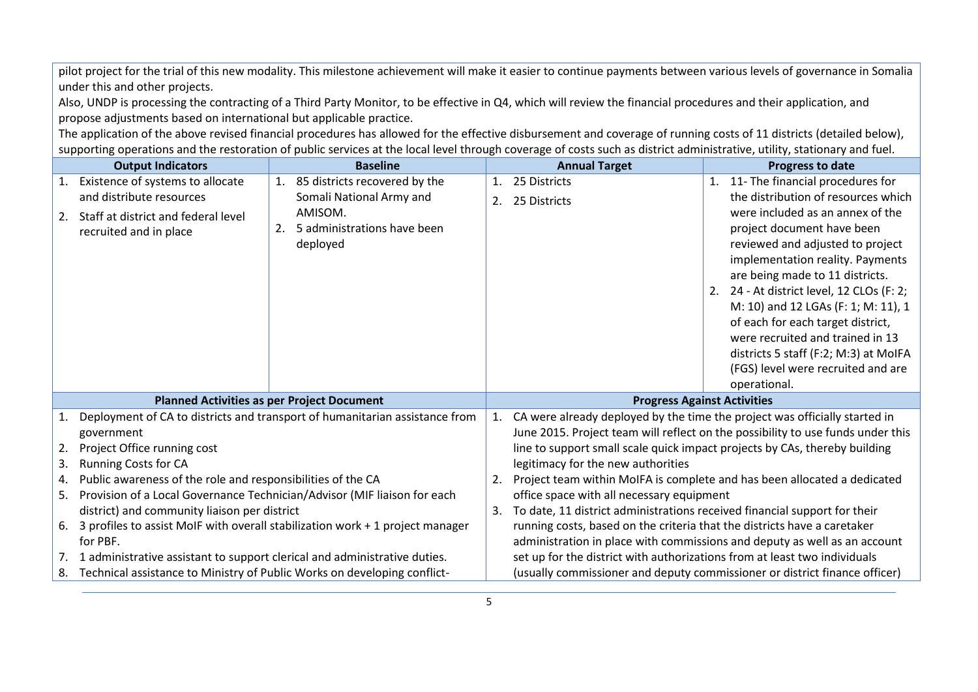pilot project for the trial of this new modality. This milestone achievement will make it easier to continue payments between various levels of governance in Somalia under this and other projects.

Also, UNDP is processing the contracting of a Third Party Monitor, to be effective in Q4, which will review the financial procedures and their application, and propose adjustments based on international but applicable practice.

The application of the above revised financial procedures has allowed for the effective disbursement and coverage of running costs of 11 districts (detailed below), supporting operations and the restoration of public services at the local level through coverage of costs such as district administrative, utility, stationary and fuel.

|                                                                                                                                                                   | <b>Output Indicators</b>                                                                                                                               |  | <b>Baseline</b>                  |                                                                                                                        | <b>Annual Target</b><br><b>Progress to date</b>                            |  |                                           |  |
|-------------------------------------------------------------------------------------------------------------------------------------------------------------------|--------------------------------------------------------------------------------------------------------------------------------------------------------|--|----------------------------------|------------------------------------------------------------------------------------------------------------------------|----------------------------------------------------------------------------|--|-------------------------------------------|--|
|                                                                                                                                                                   | 1. Existence of systems to allocate                                                                                                                    |  | 1. 85 districts recovered by the | $\mathbf{1}$ .                                                                                                         | 25 Districts                                                               |  | 1. 11- The financial procedures for       |  |
|                                                                                                                                                                   | and distribute resources                                                                                                                               |  | Somali National Army and         | 2.                                                                                                                     | 25 Districts                                                               |  | the distribution of resources which       |  |
| 2.                                                                                                                                                                | Staff at district and federal level                                                                                                                    |  | AMISOM.                          |                                                                                                                        |                                                                            |  | were included as an annex of the          |  |
|                                                                                                                                                                   | recruited and in place                                                                                                                                 |  | 5 administrations have been      |                                                                                                                        |                                                                            |  | project document have been                |  |
|                                                                                                                                                                   |                                                                                                                                                        |  | deployed                         |                                                                                                                        |                                                                            |  | reviewed and adjusted to project          |  |
|                                                                                                                                                                   |                                                                                                                                                        |  |                                  |                                                                                                                        |                                                                            |  | implementation reality. Payments          |  |
|                                                                                                                                                                   |                                                                                                                                                        |  |                                  |                                                                                                                        |                                                                            |  | are being made to 11 districts.           |  |
|                                                                                                                                                                   |                                                                                                                                                        |  |                                  |                                                                                                                        |                                                                            |  | 2. 24 - At district level, 12 CLOs (F: 2; |  |
|                                                                                                                                                                   |                                                                                                                                                        |  |                                  |                                                                                                                        |                                                                            |  | M: 10) and 12 LGAs (F: 1; M: 11), 1       |  |
|                                                                                                                                                                   |                                                                                                                                                        |  |                                  |                                                                                                                        |                                                                            |  | of each for each target district,         |  |
|                                                                                                                                                                   |                                                                                                                                                        |  |                                  |                                                                                                                        |                                                                            |  | were recruited and trained in 13          |  |
|                                                                                                                                                                   |                                                                                                                                                        |  |                                  |                                                                                                                        |                                                                            |  | districts 5 staff (F:2; M:3) at MoIFA     |  |
|                                                                                                                                                                   |                                                                                                                                                        |  |                                  |                                                                                                                        |                                                                            |  | (FGS) level were recruited and are        |  |
|                                                                                                                                                                   |                                                                                                                                                        |  |                                  |                                                                                                                        |                                                                            |  | operational.                              |  |
|                                                                                                                                                                   | <b>Planned Activities as per Project Document</b>                                                                                                      |  |                                  |                                                                                                                        | <b>Progress Against Activities</b>                                         |  |                                           |  |
| 1.                                                                                                                                                                | Deployment of CA to districts and transport of humanitarian assistance from                                                                            |  |                                  | CA were already deployed by the time the project was officially started in<br>1.                                       |                                                                            |  |                                           |  |
|                                                                                                                                                                   | government                                                                                                                                             |  |                                  | June 2015. Project team will reflect on the possibility to use funds under this                                        |                                                                            |  |                                           |  |
| 2.                                                                                                                                                                | Project Office running cost                                                                                                                            |  |                                  | line to support small scale quick impact projects by CAs, thereby building                                             |                                                                            |  |                                           |  |
| 3.                                                                                                                                                                | <b>Running Costs for CA</b>                                                                                                                            |  |                                  | legitimacy for the new authorities                                                                                     |                                                                            |  |                                           |  |
| 4.                                                                                                                                                                | Public awareness of the role and responsibilities of the CA<br>Provision of a Local Governance Technician/Advisor (MIF liaison for each                |  |                                  | Project team within MoIFA is complete and has been allocated a dedicated<br>2.                                         |                                                                            |  |                                           |  |
| 5.                                                                                                                                                                |                                                                                                                                                        |  |                                  | office space with all necessary equipment<br>To date, 11 district administrations received financial support for their |                                                                            |  |                                           |  |
|                                                                                                                                                                   | district) and community liaison per district<br>6. 3 profiles to assist MoIF with overall stabilization work + 1 project manager                       |  |                                  | 3.                                                                                                                     |                                                                            |  |                                           |  |
|                                                                                                                                                                   | for PBF.                                                                                                                                               |  |                                  | running costs, based on the criteria that the districts have a caretaker                                               |                                                                            |  |                                           |  |
|                                                                                                                                                                   | administration in place with commissions and deputy as well as an account<br>set up for the district with authorizations from at least two individuals |  |                                  |                                                                                                                        |                                                                            |  |                                           |  |
| 1 administrative assistant to support clerical and administrative duties.<br>7.<br>Technical assistance to Ministry of Public Works on developing conflict-<br>8. |                                                                                                                                                        |  |                                  |                                                                                                                        | (usually commissioner and deputy commissioner or district finance officer) |  |                                           |  |
|                                                                                                                                                                   |                                                                                                                                                        |  |                                  |                                                                                                                        |                                                                            |  |                                           |  |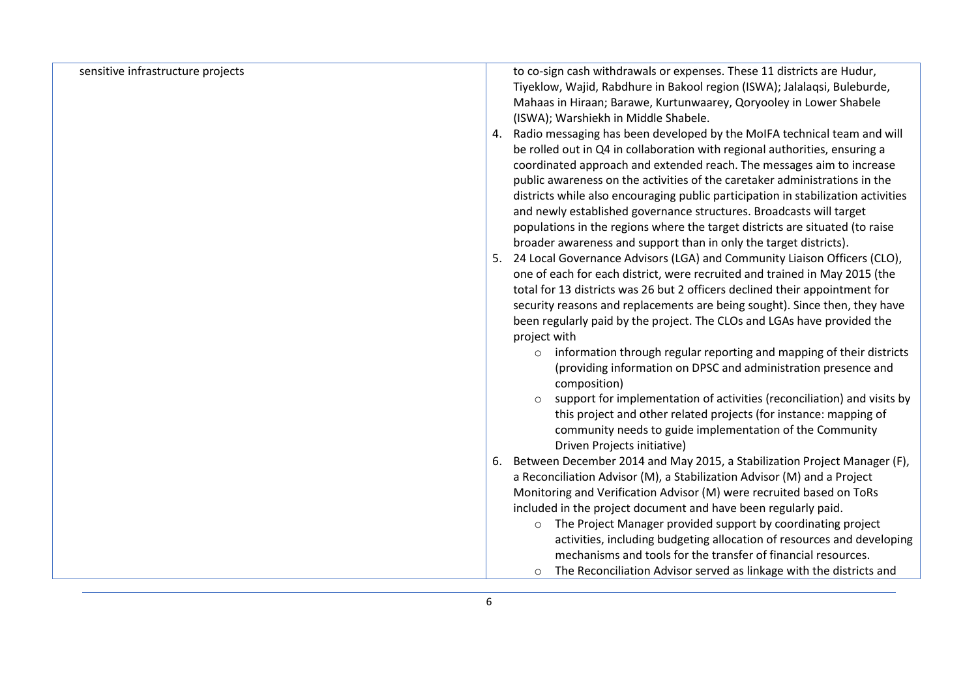| sensitive infrastructure projects | to co-sign cash withdrawals or expenses. These 11 districts are Hudur,            |  |
|-----------------------------------|-----------------------------------------------------------------------------------|--|
|                                   | Tiyeklow, Wajid, Rabdhure in Bakool region (ISWA); Jalalaqsi, Buleburde,          |  |
|                                   | Mahaas in Hiraan; Barawe, Kurtunwaarey, Qoryooley in Lower Shabele                |  |
|                                   | (ISWA); Warshiekh in Middle Shabele.                                              |  |
|                                   | Radio messaging has been developed by the MoIFA technical team and will<br>4.     |  |
|                                   | be rolled out in Q4 in collaboration with regional authorities, ensuring a        |  |
|                                   | coordinated approach and extended reach. The messages aim to increase             |  |
|                                   | public awareness on the activities of the caretaker administrations in the        |  |
|                                   | districts while also encouraging public participation in stabilization activities |  |
|                                   | and newly established governance structures. Broadcasts will target               |  |
|                                   | populations in the regions where the target districts are situated (to raise      |  |
|                                   | broader awareness and support than in only the target districts).                 |  |
|                                   | 24 Local Governance Advisors (LGA) and Community Liaison Officers (CLO),<br>5.    |  |
|                                   | one of each for each district, were recruited and trained in May 2015 (the        |  |
|                                   | total for 13 districts was 26 but 2 officers declined their appointment for       |  |
|                                   | security reasons and replacements are being sought). Since then, they have        |  |
|                                   | been regularly paid by the project. The CLOs and LGAs have provided the           |  |
|                                   | project with                                                                      |  |
|                                   | information through regular reporting and mapping of their districts<br>$\circ$   |  |
|                                   | (providing information on DPSC and administration presence and                    |  |
|                                   | composition)                                                                      |  |
|                                   | support for implementation of activities (reconciliation) and visits by           |  |
|                                   | this project and other related projects (for instance: mapping of                 |  |
|                                   | community needs to guide implementation of the Community                          |  |
|                                   | Driven Projects initiative)                                                       |  |
|                                   | Between December 2014 and May 2015, a Stabilization Project Manager (F),<br>6.    |  |
|                                   | a Reconciliation Advisor (M), a Stabilization Advisor (M) and a Project           |  |
|                                   | Monitoring and Verification Advisor (M) were recruited based on ToRs              |  |
|                                   | included in the project document and have been regularly paid.                    |  |
|                                   | o The Project Manager provided support by coordinating project                    |  |
|                                   | activities, including budgeting allocation of resources and developing            |  |
|                                   | mechanisms and tools for the transfer of financial resources.                     |  |
|                                   | The Reconciliation Advisor served as linkage with the districts and<br>$\circ$    |  |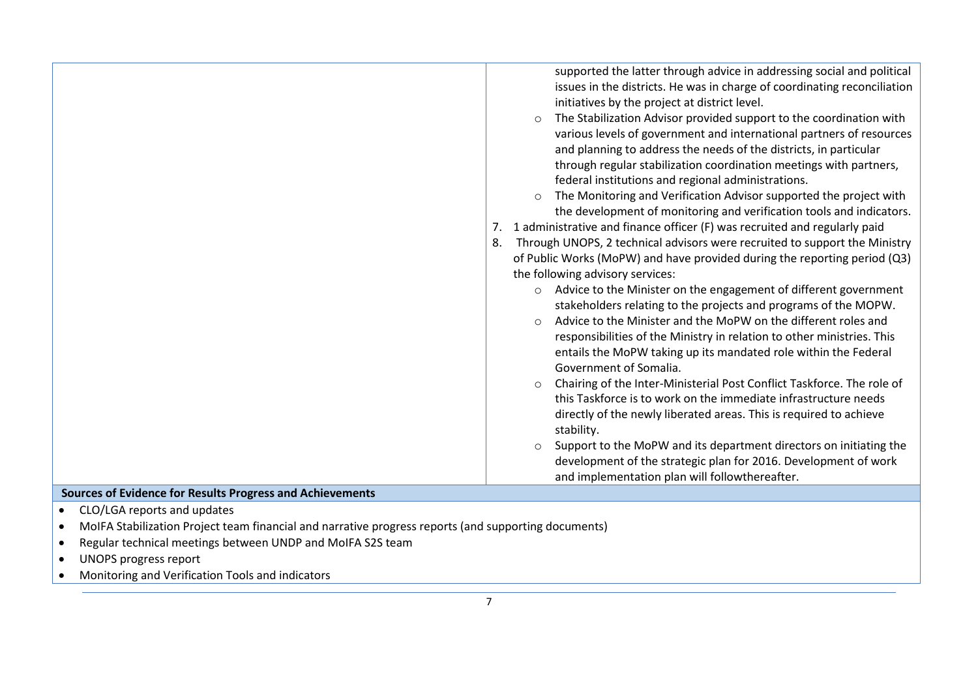|                                                                                                      | supported the latter through advice in addressing social and political<br>issues in the districts. He was in charge of coordinating reconciliation<br>initiatives by the project at district level.<br>The Stabilization Advisor provided support to the coordination with<br>$\circ$<br>various levels of government and international partners of resources<br>and planning to address the needs of the districts, in particular<br>through regular stabilization coordination meetings with partners,<br>federal institutions and regional administrations.<br>The Monitoring and Verification Advisor supported the project with<br>the development of monitoring and verification tools and indicators.<br>1 administrative and finance officer (F) was recruited and regularly paid<br>7.<br>Through UNOPS, 2 technical advisors were recruited to support the Ministry<br>8.<br>of Public Works (MoPW) and have provided during the reporting period (Q3)<br>the following advisory services:<br>o Advice to the Minister on the engagement of different government<br>stakeholders relating to the projects and programs of the MOPW.<br>Advice to the Minister and the MoPW on the different roles and<br>$\circ$<br>responsibilities of the Ministry in relation to other ministries. This<br>entails the MoPW taking up its mandated role within the Federal<br>Government of Somalia.<br>Chairing of the Inter-Ministerial Post Conflict Taskforce. The role of<br>$\circ$<br>this Taskforce is to work on the immediate infrastructure needs<br>directly of the newly liberated areas. This is required to achieve<br>stability.<br>Support to the MoPW and its department directors on initiating the<br>$\circ$<br>development of the strategic plan for 2016. Development of work<br>and implementation plan will followthereafter. |
|------------------------------------------------------------------------------------------------------|-----------------------------------------------------------------------------------------------------------------------------------------------------------------------------------------------------------------------------------------------------------------------------------------------------------------------------------------------------------------------------------------------------------------------------------------------------------------------------------------------------------------------------------------------------------------------------------------------------------------------------------------------------------------------------------------------------------------------------------------------------------------------------------------------------------------------------------------------------------------------------------------------------------------------------------------------------------------------------------------------------------------------------------------------------------------------------------------------------------------------------------------------------------------------------------------------------------------------------------------------------------------------------------------------------------------------------------------------------------------------------------------------------------------------------------------------------------------------------------------------------------------------------------------------------------------------------------------------------------------------------------------------------------------------------------------------------------------------------------------------------------------------------------------------------------------------------------------------------|
| Sources of Evidence for Results Progress and Achievements                                            |                                                                                                                                                                                                                                                                                                                                                                                                                                                                                                                                                                                                                                                                                                                                                                                                                                                                                                                                                                                                                                                                                                                                                                                                                                                                                                                                                                                                                                                                                                                                                                                                                                                                                                                                                                                                                                                     |
| CLO/LGA reports and updates<br>$\bullet$                                                             |                                                                                                                                                                                                                                                                                                                                                                                                                                                                                                                                                                                                                                                                                                                                                                                                                                                                                                                                                                                                                                                                                                                                                                                                                                                                                                                                                                                                                                                                                                                                                                                                                                                                                                                                                                                                                                                     |
| MoIFA Stabilization Project team financial and narrative progress reports (and supporting documents) |                                                                                                                                                                                                                                                                                                                                                                                                                                                                                                                                                                                                                                                                                                                                                                                                                                                                                                                                                                                                                                                                                                                                                                                                                                                                                                                                                                                                                                                                                                                                                                                                                                                                                                                                                                                                                                                     |
| Regular technical meetings between UNDP and MoIFA S2S team                                           |                                                                                                                                                                                                                                                                                                                                                                                                                                                                                                                                                                                                                                                                                                                                                                                                                                                                                                                                                                                                                                                                                                                                                                                                                                                                                                                                                                                                                                                                                                                                                                                                                                                                                                                                                                                                                                                     |
| <b>UNOPS progress report</b>                                                                         |                                                                                                                                                                                                                                                                                                                                                                                                                                                                                                                                                                                                                                                                                                                                                                                                                                                                                                                                                                                                                                                                                                                                                                                                                                                                                                                                                                                                                                                                                                                                                                                                                                                                                                                                                                                                                                                     |
|                                                                                                      |                                                                                                                                                                                                                                                                                                                                                                                                                                                                                                                                                                                                                                                                                                                                                                                                                                                                                                                                                                                                                                                                                                                                                                                                                                                                                                                                                                                                                                                                                                                                                                                                                                                                                                                                                                                                                                                     |

Monitoring and Verification Tools and indicators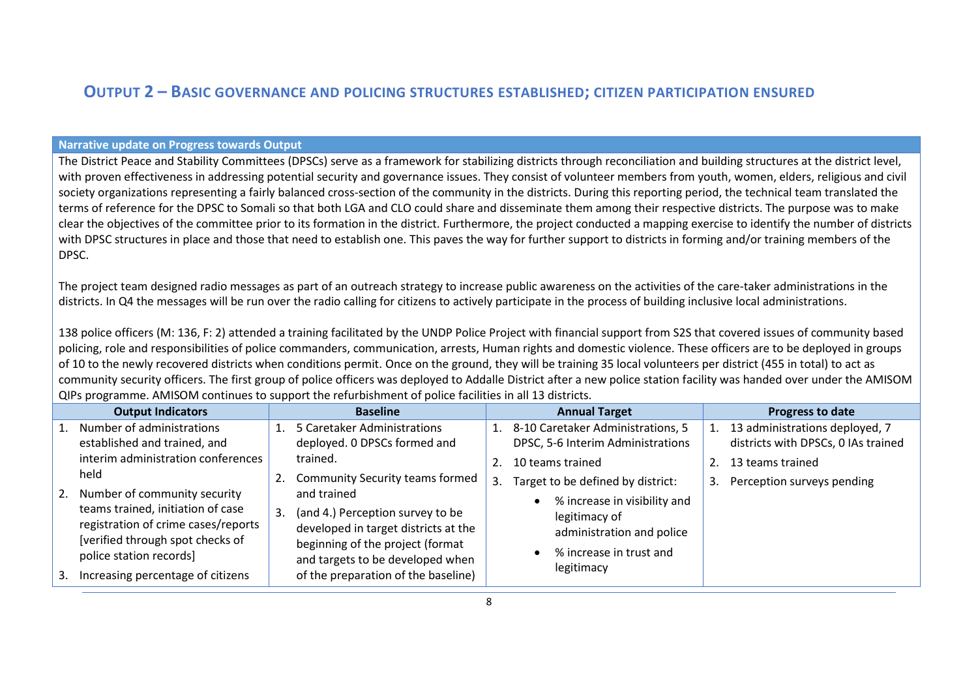### **OUTPUT 2 – BASIC GOVERNANCE AND POLICING STRUCTURES ESTABLISHED; CITIZEN PARTICIPATION ENSURED**

#### **Narrative update on Progress towards Output**

The District Peace and Stability Committees (DPSCs) serve as a framework for stabilizing districts through reconciliation and building structures at the district level, with proven effectiveness in addressing potential security and governance issues. They consist of volunteer members from youth, women, elders, religious and civil society organizations representing a fairly balanced cross-section of the community in the districts. During this reporting period, the technical team translated the terms of reference for the DPSC to Somali so that both LGA and CLO could share and disseminate them among their respective districts. The purpose was to make clear the objectives of the committee prior to its formation in the district. Furthermore, the project conducted a mapping exercise to identify the number of districts with DPSC structures in place and those that need to establish one. This paves the way for further support to districts in forming and/or training members of the DPSC.

The project team designed radio messages as part of an outreach strategy to increase public awareness on the activities of the care-taker administrations in the districts. In Q4 the messages will be run over the radio calling for citizens to actively participate in the process of building inclusive local administrations.

138 police officers (M: 136, F: 2) attended a training facilitated by the UNDP Police Project with financial support from S2S that covered issues of community based policing, role and responsibilities of police commanders, communication, arrests, Human rights and domestic violence. These officers are to be deployed in groups of 10 to the newly recovered districts when conditions permit. Once on the ground, they will be training 35 local volunteers per district (455 in total) to act as community security officers. The first group of police officers was deployed to Addalle District after a new police station facility was handed over under the AMISOM QIPs programme. AMISOM continues to support the refurbishment of police facilities in all 13 districts.

|    | <b>Output Indicators</b>            |    | <b>Baseline</b>                        |    | <b>Annual Target</b>                 |    | Progress to date                    |
|----|-------------------------------------|----|----------------------------------------|----|--------------------------------------|----|-------------------------------------|
|    | 1. Number of administrations        |    | 5 Caretaker Administrations            |    | 1. 8-10 Caretaker Administrations, 5 |    | 13 administrations deployed, 7      |
|    | established and trained, and        |    | deployed. 0 DPSCs formed and           |    | DPSC, 5-6 Interim Administrations    |    | districts with DPSCs, 0 IAs trained |
|    | interim administration conferences  |    | trained.                               |    | 10 teams trained                     |    | 13 teams trained                    |
|    | held                                |    | <b>Community Security teams formed</b> | 3. | Target to be defined by district:    | 3. | Perception surveys pending          |
|    | 2. Number of community security     |    | and trained                            |    | % increase in visibility and         |    |                                     |
|    | teams trained, initiation of case   | 3. | (and 4.) Perception survey to be       |    | legitimacy of                        |    |                                     |
|    | registration of crime cases/reports |    | developed in target districts at the   |    | administration and police            |    |                                     |
|    | [verified through spot checks of    |    | beginning of the project (format       |    | % increase in trust and              |    |                                     |
|    | police station records]             |    | and targets to be developed when       |    | legitimacy                           |    |                                     |
| 3. | Increasing percentage of citizens   |    | of the preparation of the baseline)    |    |                                      |    |                                     |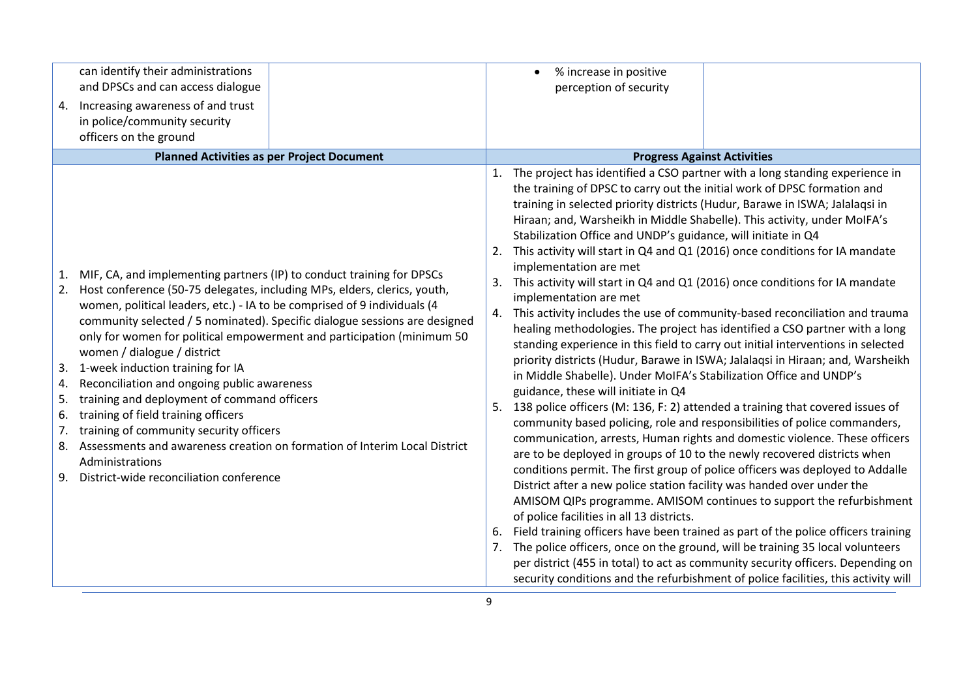| 4.                         | can identify their administrations<br>and DPSCs and can access dialogue<br>Increasing awareness of and trust<br>in police/community security<br>officers on the ground<br><b>Planned Activities as per Project Document</b>                                                                                                                                                                                                                                                                                                                                                                                                                                                                                                                                                                     |                                  | % increase in positive<br>perception of security<br><b>Progress Against Activities</b>                                                                                                                                                                                                                                                                                                                                                                                                                                                                                                                                                                                                                                                                                                                                                                                                                                                                                                                                                                                                                                                                                                                                                                                                                                                                                                                                                                                                                                                                                                                                                                                                                                                                                                                                                                                                                                                                                                                         |
|----------------------------|-------------------------------------------------------------------------------------------------------------------------------------------------------------------------------------------------------------------------------------------------------------------------------------------------------------------------------------------------------------------------------------------------------------------------------------------------------------------------------------------------------------------------------------------------------------------------------------------------------------------------------------------------------------------------------------------------------------------------------------------------------------------------------------------------|----------------------------------|----------------------------------------------------------------------------------------------------------------------------------------------------------------------------------------------------------------------------------------------------------------------------------------------------------------------------------------------------------------------------------------------------------------------------------------------------------------------------------------------------------------------------------------------------------------------------------------------------------------------------------------------------------------------------------------------------------------------------------------------------------------------------------------------------------------------------------------------------------------------------------------------------------------------------------------------------------------------------------------------------------------------------------------------------------------------------------------------------------------------------------------------------------------------------------------------------------------------------------------------------------------------------------------------------------------------------------------------------------------------------------------------------------------------------------------------------------------------------------------------------------------------------------------------------------------------------------------------------------------------------------------------------------------------------------------------------------------------------------------------------------------------------------------------------------------------------------------------------------------------------------------------------------------------------------------------------------------------------------------------------------------|
| 1.<br>3.<br>4.<br>5.<br>6. | MIF, CA, and implementing partners (IP) to conduct training for DPSCs<br>2. Host conference (50-75 delegates, including MPs, elders, clerics, youth,<br>women, political leaders, etc.) - IA to be comprised of 9 individuals (4<br>community selected / 5 nominated). Specific dialogue sessions are designed<br>only for women for political empowerment and participation (minimum 50<br>women / dialogue / district<br>1-week induction training for IA<br>Reconciliation and ongoing public awareness<br>training and deployment of command officers<br>training of field training officers<br>7. training of community security officers<br>8. Assessments and awareness creation on formation of Interim Local District<br>Administrations<br>9. District-wide reconciliation conference | 1.<br>2.<br>3.<br>4.<br>5.<br>7. | The project has identified a CSO partner with a long standing experience in<br>the training of DPSC to carry out the initial work of DPSC formation and<br>training in selected priority districts (Hudur, Barawe in ISWA; Jalalaqsi in<br>Hiraan; and, Warsheikh in Middle Shabelle). This activity, under MoIFA's<br>Stabilization Office and UNDP's guidance, will initiate in Q4<br>This activity will start in Q4 and Q1 (2016) once conditions for IA mandate<br>implementation are met<br>This activity will start in Q4 and Q1 (2016) once conditions for IA mandate<br>implementation are met<br>This activity includes the use of community-based reconciliation and trauma<br>healing methodologies. The project has identified a CSO partner with a long<br>standing experience in this field to carry out initial interventions in selected<br>priority districts (Hudur, Barawe in ISWA; Jalalagsi in Hiraan; and, Warsheikh<br>in Middle Shabelle). Under MoIFA's Stabilization Office and UNDP's<br>guidance, these will initiate in Q4<br>138 police officers (M: 136, F: 2) attended a training that covered issues of<br>community based policing, role and responsibilities of police commanders,<br>communication, arrests, Human rights and domestic violence. These officers<br>are to be deployed in groups of 10 to the newly recovered districts when<br>conditions permit. The first group of police officers was deployed to Addalle<br>District after a new police station facility was handed over under the<br>AMISOM QIPs programme. AMISOM continues to support the refurbishment<br>of police facilities in all 13 districts.<br>Field training officers have been trained as part of the police officers training<br>The police officers, once on the ground, will be training 35 local volunteers<br>per district (455 in total) to act as community security officers. Depending on<br>security conditions and the refurbishment of police facilities, this activity will |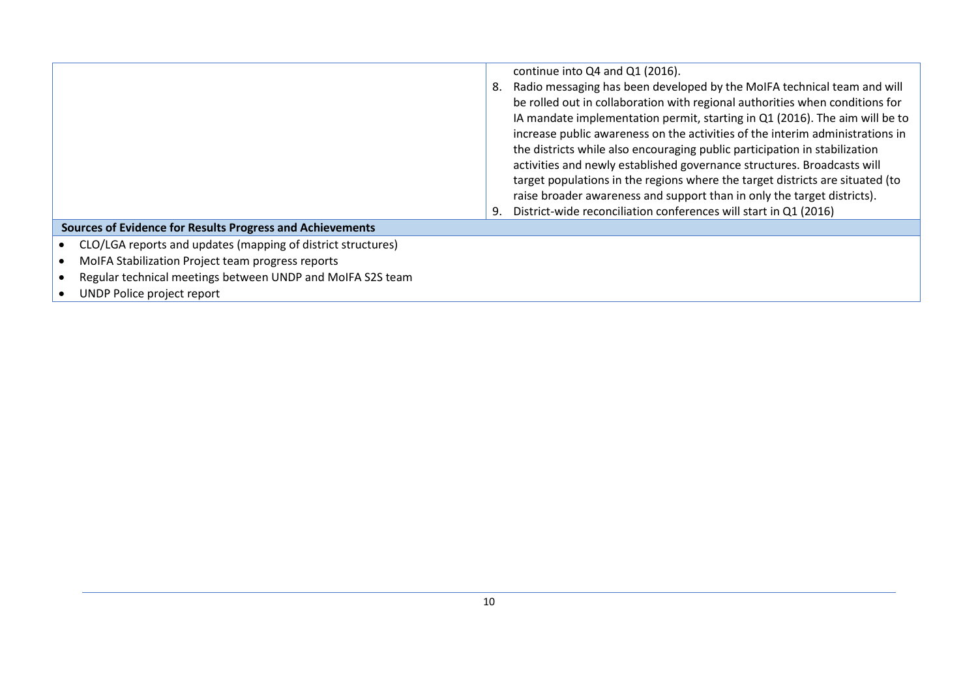|                                                              |    | continue into Q4 and Q1 (2016).                                               |
|--------------------------------------------------------------|----|-------------------------------------------------------------------------------|
|                                                              | 8. | Radio messaging has been developed by the MoIFA technical team and will       |
|                                                              |    | be rolled out in collaboration with regional authorities when conditions for  |
|                                                              |    | IA mandate implementation permit, starting in Q1 (2016). The aim will be to   |
|                                                              |    | increase public awareness on the activities of the interim administrations in |
|                                                              |    | the districts while also encouraging public participation in stabilization    |
|                                                              |    | activities and newly established governance structures. Broadcasts will       |
|                                                              |    | target populations in the regions where the target districts are situated (to |
|                                                              |    | raise broader awareness and support than in only the target districts).       |
|                                                              | 9. | District-wide reconciliation conferences will start in Q1 (2016)              |
| Sources of Evidence for Results Progress and Achievements    |    |                                                                               |
| CLO/LGA reports and updates (mapping of district structures) |    |                                                                               |
| MoIFA Stabilization Project team progress reports            |    |                                                                               |
| Regular technical meetings between UNDP and MoIFA S2S team   |    |                                                                               |

**•** UNDP Police project report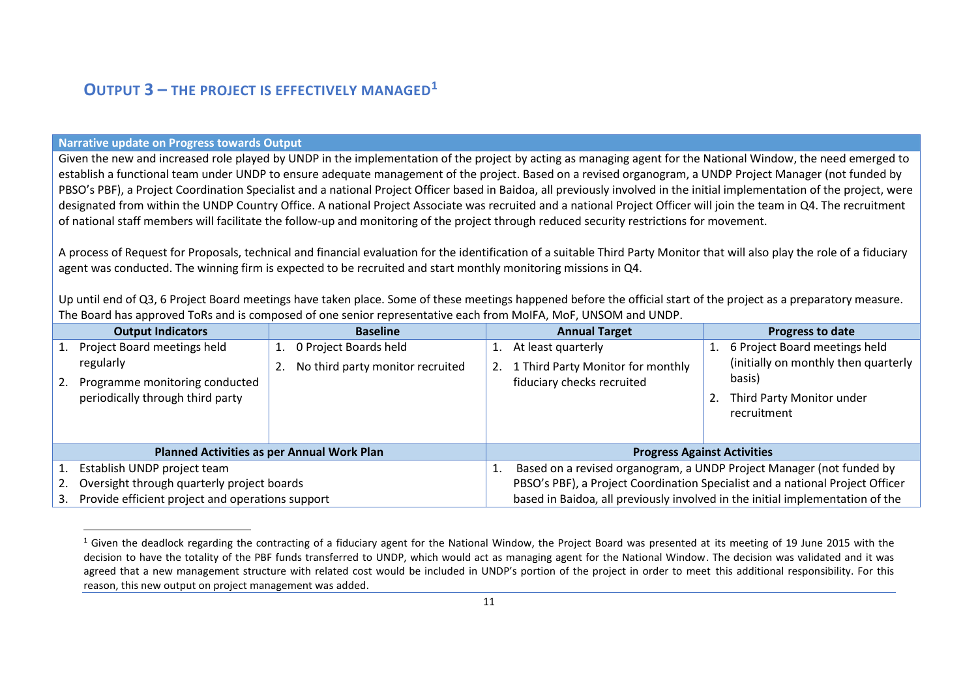### **OUTPUT 3 – THE PROJECT IS EFFECTIVELY MANAGED<sup>1</sup>**

#### **Narrative update on Progress towards Output**

 $\overline{a}$ 

Given the new and increased role played by UNDP in the implementation of the project by acting as managing agent for the National Window, the need emerged to establish a functional team under UNDP to ensure adequate management of the project. Based on a revised organogram, a UNDP Project Manager (not funded by PBSO's PBF), a Project Coordination Specialist and a national Project Officer based in Baidoa, all previously involved in the initial implementation of the project, were designated from within the UNDP Country Office. A national Project Associate was recruited and a national Project Officer will join the team in Q4. The recruitment of national staff members will facilitate the follow-up and monitoring of the project through reduced security restrictions for movement.

A process of Request for Proposals, technical and financial evaluation for the identification of a suitable Third Party Monitor that will also play the role of a fiduciary agent was conducted. The winning firm is expected to be recruited and start monthly monitoring missions in Q4.

Up until end of Q3, 6 Project Board meetings have taken place. Some of these meetings happened before the official start of the project as a preparatory measure. The Board has approved ToRs and is composed of one senior representative each from MoIFA, MoF, UNSOM and UNDP.

|                                                        | <b>Output Indicators</b>         |  | <b>Baseline</b>                  |                                                                      | <b>Annual Target</b>                                                          |  | Progress to date                     |
|--------------------------------------------------------|----------------------------------|--|----------------------------------|----------------------------------------------------------------------|-------------------------------------------------------------------------------|--|--------------------------------------|
| 1.                                                     | Project Board meetings held      |  | 1. 0 Project Boards held         |                                                                      | At least quarterly                                                            |  | 6 Project Board meetings held        |
|                                                        | regularly                        |  | No third party monitor recruited | 2.                                                                   | 1 Third Party Monitor for monthly                                             |  | (initially on monthly then quarterly |
| 2.                                                     | Programme monitoring conducted   |  |                                  |                                                                      | fiduciary checks recruited                                                    |  | basis)                               |
|                                                        | periodically through third party |  |                                  |                                                                      |                                                                               |  | Third Party Monitor under            |
|                                                        |                                  |  |                                  |                                                                      |                                                                               |  | recruitment                          |
|                                                        |                                  |  |                                  |                                                                      |                                                                               |  |                                      |
| <b>Planned Activities as per Annual Work Plan</b>      |                                  |  |                                  |                                                                      | <b>Progress Against Activities</b>                                            |  |                                      |
|                                                        | Establish UNDP project team      |  |                                  | Based on a revised organogram, a UNDP Project Manager (not funded by |                                                                               |  |                                      |
| Oversight through quarterly project boards             |                                  |  |                                  |                                                                      | PBSO's PBF), a Project Coordination Specialist and a national Project Officer |  |                                      |
| Provide efficient project and operations support<br>3. |                                  |  |                                  |                                                                      | based in Baidoa, all previously involved in the initial implementation of the |  |                                      |

<sup>&</sup>lt;sup>1</sup> Given the deadlock regarding the contracting of a fiduciary agent for the National Window, the Project Board was presented at its meeting of 19 June 2015 with the decision to have the totality of the PBF funds transferred to UNDP, which would act as managing agent for the National Window. The decision was validated and it was agreed that a new management structure with related cost would be included in UNDP's portion of the project in order to meet this additional responsibility. For this reason, this new output on project management was added.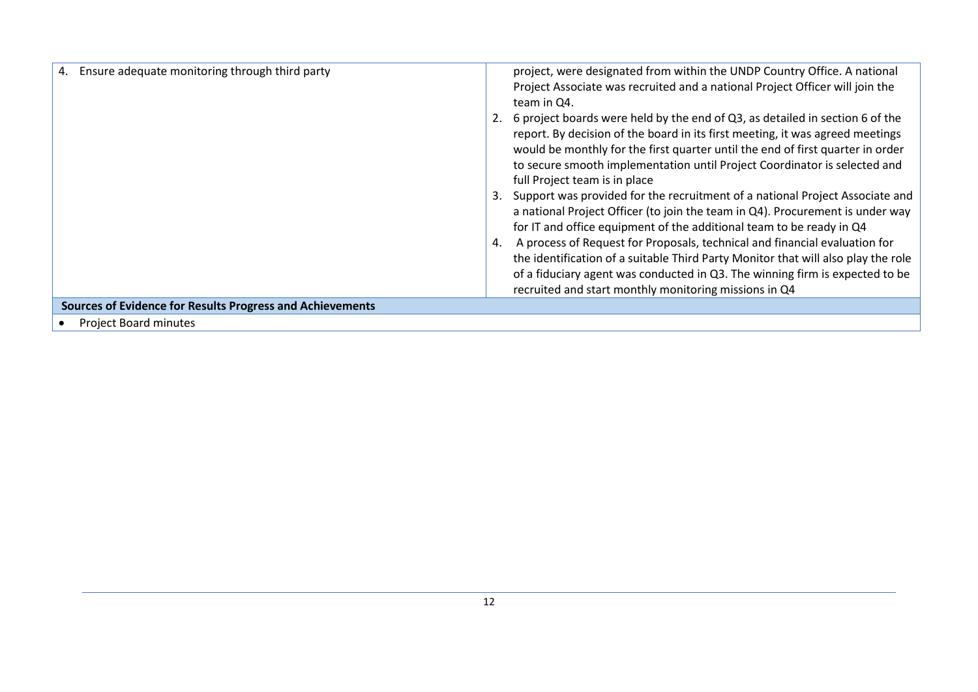| Ensure adequate monitoring through third party<br>4.             | project, were designated from within the UNDP Country Office. A national<br>Project Associate was recruited and a national Project Officer will join the<br>team in Q4.<br>6 project boards were held by the end of Q3, as detailed in section 6 of the<br>report. By decision of the board in its first meeting, it was agreed meetings<br>would be monthly for the first quarter until the end of first quarter in order |
|------------------------------------------------------------------|----------------------------------------------------------------------------------------------------------------------------------------------------------------------------------------------------------------------------------------------------------------------------------------------------------------------------------------------------------------------------------------------------------------------------|
|                                                                  | to secure smooth implementation until Project Coordinator is selected and<br>full Project team is in place                                                                                                                                                                                                                                                                                                                 |
|                                                                  | Support was provided for the recruitment of a national Project Associate and<br>3.<br>a national Project Officer (to join the team in Q4). Procurement is under way<br>for IT and office equipment of the additional team to be ready in Q4                                                                                                                                                                                |
|                                                                  | A process of Request for Proposals, technical and financial evaluation for<br>4.<br>the identification of a suitable Third Party Monitor that will also play the role<br>of a fiduciary agent was conducted in Q3. The winning firm is expected to be<br>recruited and start monthly monitoring missions in Q4                                                                                                             |
| <b>Sources of Evidence for Results Progress and Achievements</b> |                                                                                                                                                                                                                                                                                                                                                                                                                            |
| <b>Project Board minutes</b>                                     |                                                                                                                                                                                                                                                                                                                                                                                                                            |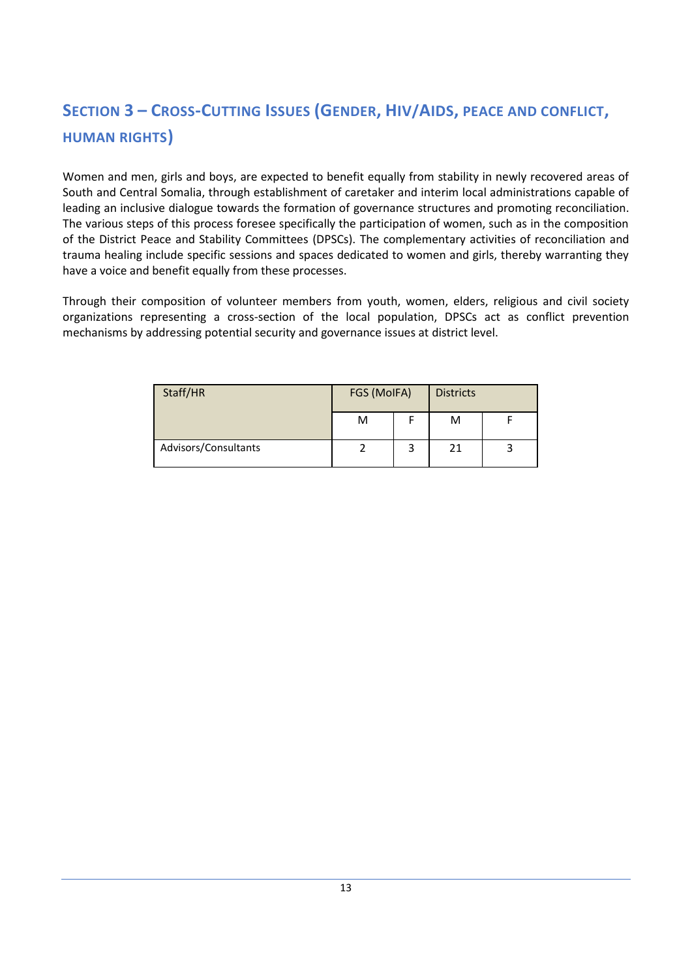## **SECTION 3 – CROSS-CUTTING ISSUES (GENDER, HIV/AIDS, PEACE AND CONFLICT, HUMAN RIGHTS)**

Women and men, girls and boys, are expected to benefit equally from stability in newly recovered areas of South and Central Somalia, through establishment of caretaker and interim local administrations capable of leading an inclusive dialogue towards the formation of governance structures and promoting reconciliation. The various steps of this process foresee specifically the participation of women, such as in the composition of the District Peace and Stability Committees (DPSCs). The complementary activities of reconciliation and trauma healing include specific sessions and spaces dedicated to women and girls, thereby warranting they have a voice and benefit equally from these processes.

Through their composition of volunteer members from youth, women, elders, religious and civil society organizations representing a cross-section of the local population, DPSCs act as conflict prevention mechanisms by addressing potential security and governance issues at district level.

| Staff/HR             | FGS (MoIFA) | <b>Districts</b> |  |  |
|----------------------|-------------|------------------|--|--|
|                      | M           | M                |  |  |
| Advisors/Consultants |             | 21               |  |  |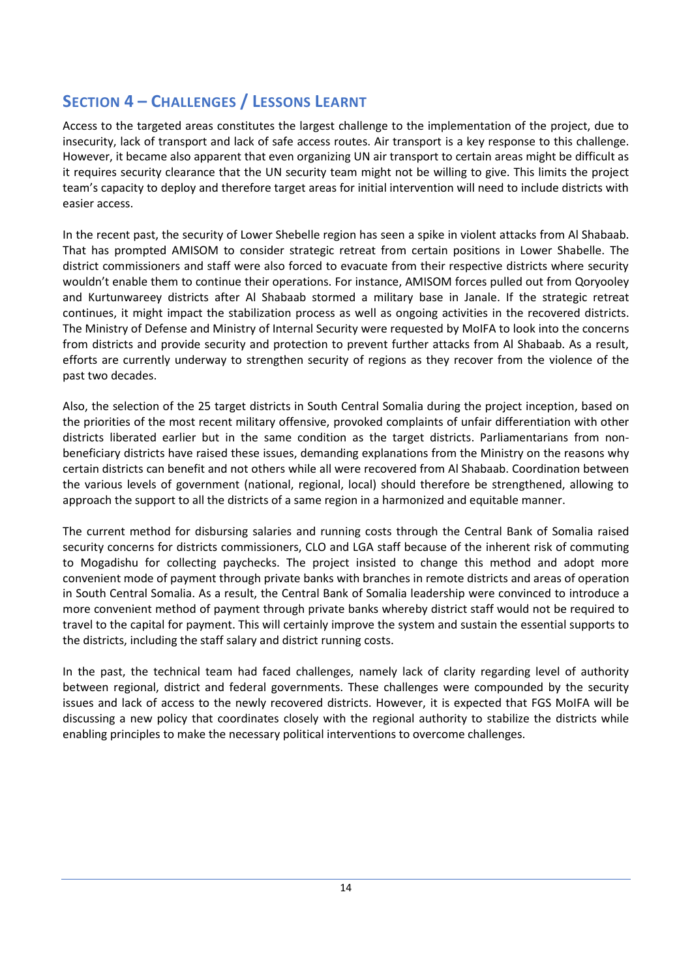### **SECTION 4 – CHALLENGES / LESSONS LEARNT**

Access to the targeted areas constitutes the largest challenge to the implementation of the project, due to insecurity, lack of transport and lack of safe access routes. Air transport is a key response to this challenge. However, it became also apparent that even organizing UN air transport to certain areas might be difficult as it requires security clearance that the UN security team might not be willing to give. This limits the project team's capacity to deploy and therefore target areas for initial intervention will need to include districts with easier access.

In the recent past, the security of Lower Shebelle region has seen a spike in violent attacks from Al Shabaab. That has prompted AMISOM to consider strategic retreat from certain positions in Lower Shabelle. The district commissioners and staff were also forced to evacuate from their respective districts where security wouldn't enable them to continue their operations. For instance, AMISOM forces pulled out from Qoryooley and Kurtunwareey districts after Al Shabaab stormed a military base in Janale. If the strategic retreat continues, it might impact the stabilization process as well as ongoing activities in the recovered districts. The Ministry of Defense and Ministry of Internal Security were requested by MoIFA to look into the concerns from districts and provide security and protection to prevent further attacks from Al Shabaab. As a result, efforts are currently underway to strengthen security of regions as they recover from the violence of the past two decades.

Also, the selection of the 25 target districts in South Central Somalia during the project inception, based on the priorities of the most recent military offensive, provoked complaints of unfair differentiation with other districts liberated earlier but in the same condition as the target districts. Parliamentarians from nonbeneficiary districts have raised these issues, demanding explanations from the Ministry on the reasons why certain districts can benefit and not others while all were recovered from Al Shabaab. Coordination between the various levels of government (national, regional, local) should therefore be strengthened, allowing to approach the support to all the districts of a same region in a harmonized and equitable manner.

The current method for disbursing salaries and running costs through the Central Bank of Somalia raised security concerns for districts commissioners, CLO and LGA staff because of the inherent risk of commuting to Mogadishu for collecting paychecks. The project insisted to change this method and adopt more convenient mode of payment through private banks with branches in remote districts and areas of operation in South Central Somalia. As a result, the Central Bank of Somalia leadership were convinced to introduce a more convenient method of payment through private banks whereby district staff would not be required to travel to the capital for payment. This will certainly improve the system and sustain the essential supports to the districts, including the staff salary and district running costs.

In the past, the technical team had faced challenges, namely lack of clarity regarding level of authority between regional, district and federal governments. These challenges were compounded by the security issues and lack of access to the newly recovered districts. However, it is expected that FGS MoIFA will be discussing a new policy that coordinates closely with the regional authority to stabilize the districts while enabling principles to make the necessary political interventions to overcome challenges.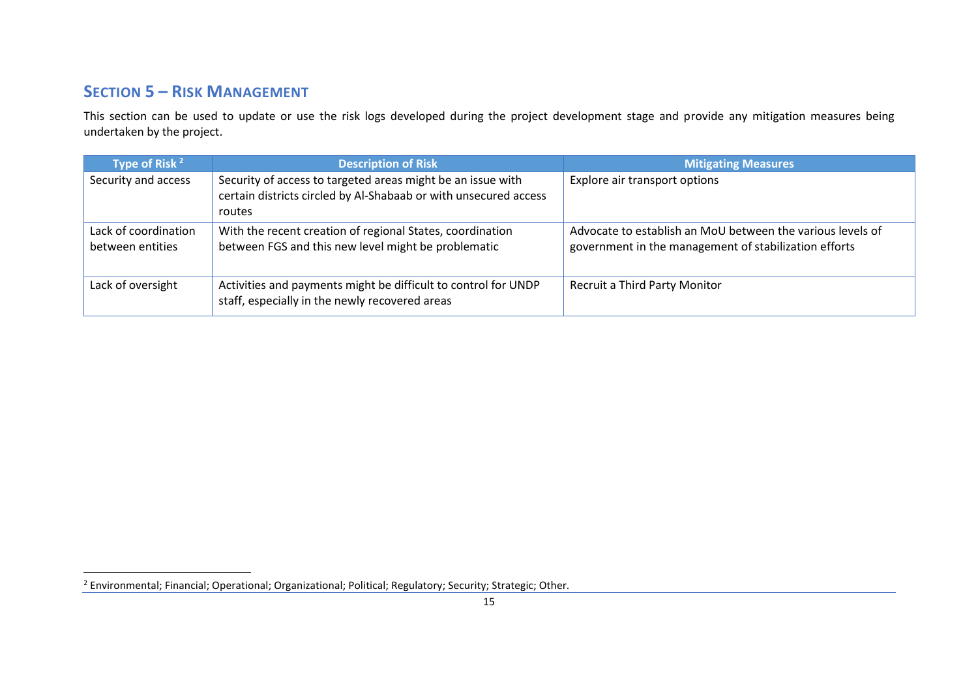### **SECTION 5 – RISK MANAGEMENT**

 $\overline{a}$ 

This section can be used to update or use the risk logs developed during the project development stage and provide any mitigation measures being undertaken by the project.

| Type of Risk <sup>2</sup>                | <b>Description of Risk</b>                                                                                                                | <b>Mitigating Measures</b>                                                                                          |
|------------------------------------------|-------------------------------------------------------------------------------------------------------------------------------------------|---------------------------------------------------------------------------------------------------------------------|
| Security and access                      | Security of access to targeted areas might be an issue with<br>certain districts circled by Al-Shabaab or with unsecured access<br>routes | Explore air transport options                                                                                       |
| Lack of coordination<br>between entities | With the recent creation of regional States, coordination<br>between FGS and this new level might be problematic                          | Advocate to establish an MoU between the various levels of<br>government in the management of stabilization efforts |
| Lack of oversight                        | Activities and payments might be difficult to control for UNDP<br>staff, especially in the newly recovered areas                          | <b>Recruit a Third Party Monitor</b>                                                                                |

<sup>&</sup>lt;sup>2</sup> Environmental; Financial; Operational; Organizational; Political; Regulatory; Security; Strategic; Other.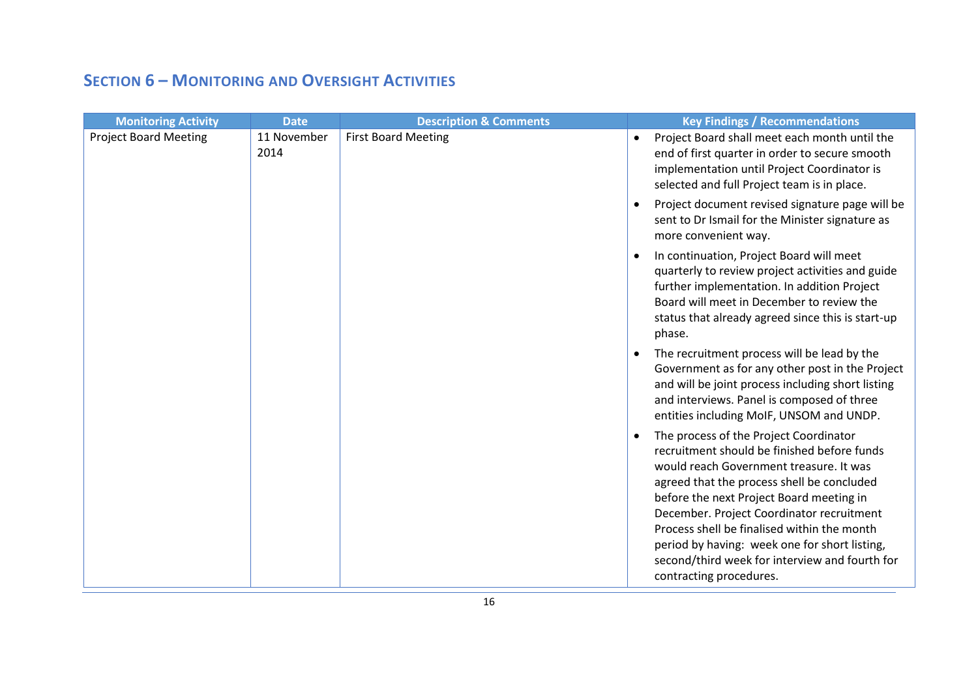### **SECTION 6 – MONITORING AND OVERSIGHT ACTIVITIES**

| <b>Monitoring Activity</b>   | <b>Date</b>         | <b>Description &amp; Comments</b> | <b>Key Findings / Recommendations</b>                                                                                                                                                                                                                                                                                                                                                                                                                |
|------------------------------|---------------------|-----------------------------------|------------------------------------------------------------------------------------------------------------------------------------------------------------------------------------------------------------------------------------------------------------------------------------------------------------------------------------------------------------------------------------------------------------------------------------------------------|
| <b>Project Board Meeting</b> | 11 November<br>2014 | <b>First Board Meeting</b>        | Project Board shall meet each month until the<br>$\bullet$<br>end of first quarter in order to secure smooth<br>implementation until Project Coordinator is<br>selected and full Project team is in place.                                                                                                                                                                                                                                           |
|                              |                     |                                   | Project document revised signature page will be<br>sent to Dr Ismail for the Minister signature as<br>more convenient way.                                                                                                                                                                                                                                                                                                                           |
|                              |                     |                                   | In continuation, Project Board will meet<br>quarterly to review project activities and guide<br>further implementation. In addition Project<br>Board will meet in December to review the<br>status that already agreed since this is start-up<br>phase.                                                                                                                                                                                              |
|                              |                     |                                   | The recruitment process will be lead by the<br>Government as for any other post in the Project<br>and will be joint process including short listing<br>and interviews. Panel is composed of three<br>entities including MoIF, UNSOM and UNDP.                                                                                                                                                                                                        |
|                              |                     |                                   | The process of the Project Coordinator<br>recruitment should be finished before funds<br>would reach Government treasure. It was<br>agreed that the process shell be concluded<br>before the next Project Board meeting in<br>December. Project Coordinator recruitment<br>Process shell be finalised within the month<br>period by having: week one for short listing,<br>second/third week for interview and fourth for<br>contracting procedures. |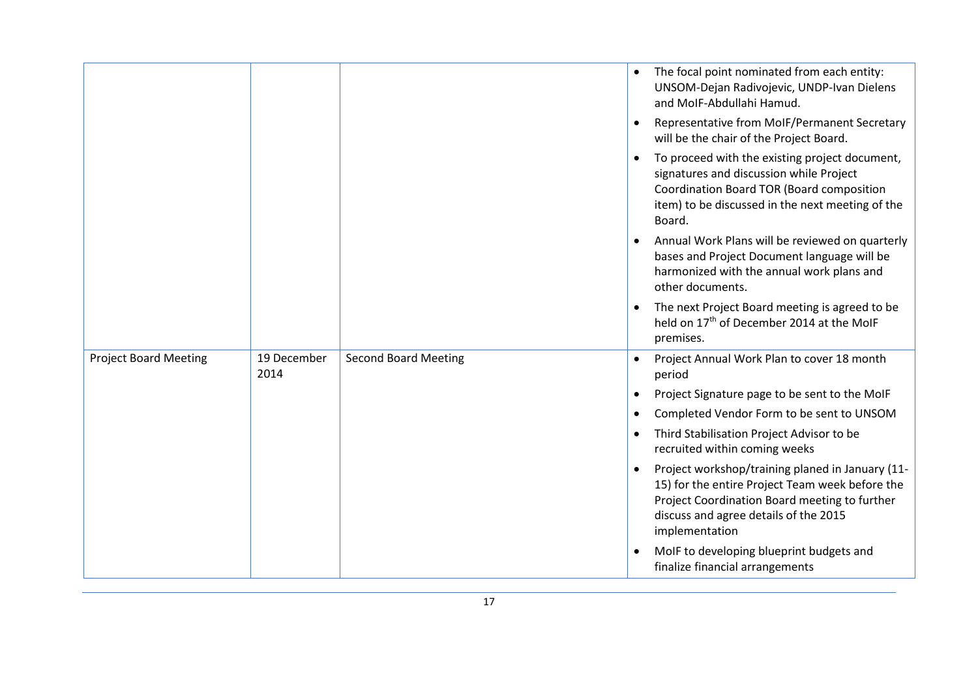|                              |                     |                             | $\bullet$ | The focal point nominated from each entity:<br>UNSOM-Dejan Radivojevic, UNDP-Ivan Dielens<br>and MoIF-Abdullahi Hamud.<br>Representative from MoIF/Permanent Secretary<br>will be the chair of the Project Board. |
|------------------------------|---------------------|-----------------------------|-----------|-------------------------------------------------------------------------------------------------------------------------------------------------------------------------------------------------------------------|
|                              |                     |                             |           | To proceed with the existing project document,<br>signatures and discussion while Project<br>Coordination Board TOR (Board composition<br>item) to be discussed in the next meeting of the<br>Board.              |
|                              |                     |                             |           | Annual Work Plans will be reviewed on quarterly<br>bases and Project Document language will be<br>harmonized with the annual work plans and<br>other documents.                                                   |
|                              |                     |                             |           | The next Project Board meeting is agreed to be<br>held on 17 <sup>th</sup> of December 2014 at the MoIF<br>premises.                                                                                              |
| <b>Project Board Meeting</b> | 19 December<br>2014 | <b>Second Board Meeting</b> |           | Project Annual Work Plan to cover 18 month<br>period                                                                                                                                                              |
|                              |                     |                             |           | Project Signature page to be sent to the MoIF                                                                                                                                                                     |
|                              |                     |                             | $\bullet$ | Completed Vendor Form to be sent to UNSOM                                                                                                                                                                         |
|                              |                     |                             |           | Third Stabilisation Project Advisor to be<br>recruited within coming weeks                                                                                                                                        |
|                              |                     |                             |           | Project workshop/training planed in January (11-<br>15) for the entire Project Team week before the<br>Project Coordination Board meeting to further<br>discuss and agree details of the 2015<br>implementation   |
|                              |                     |                             |           | MoIF to developing blueprint budgets and<br>finalize financial arrangements                                                                                                                                       |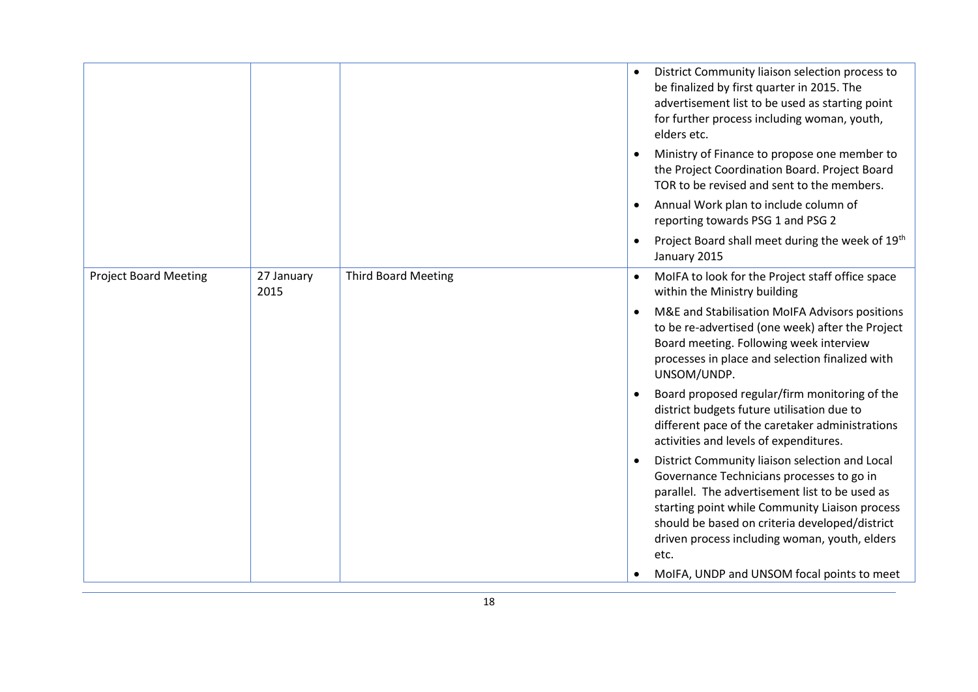|                    |                            | District Community liaison selection process to<br>be finalized by first quarter in 2015. The<br>advertisement list to be used as starting point<br>for further process including woman, youth,<br>elders etc.<br>Ministry of Finance to propose one member to<br>the Project Coordination Board. Project Board<br>TOR to be revised and sent to the members. |
|--------------------|----------------------------|---------------------------------------------------------------------------------------------------------------------------------------------------------------------------------------------------------------------------------------------------------------------------------------------------------------------------------------------------------------|
|                    |                            | Annual Work plan to include column of<br>reporting towards PSG 1 and PSG 2                                                                                                                                                                                                                                                                                    |
|                    |                            | Project Board shall meet during the week of 19th<br>$\bullet$<br>January 2015                                                                                                                                                                                                                                                                                 |
| 27 January<br>2015 | <b>Third Board Meeting</b> | MoIFA to look for the Project staff office space<br>within the Ministry building                                                                                                                                                                                                                                                                              |
|                    |                            | M&E and Stabilisation MoIFA Advisors positions<br>to be re-advertised (one week) after the Project<br>Board meeting. Following week interview<br>processes in place and selection finalized with<br>UNSOM/UNDP.                                                                                                                                               |
|                    |                            | Board proposed regular/firm monitoring of the<br>district budgets future utilisation due to<br>different pace of the caretaker administrations<br>activities and levels of expenditures.                                                                                                                                                                      |
|                    |                            | District Community liaison selection and Local<br>Governance Technicians processes to go in<br>parallel. The advertisement list to be used as<br>starting point while Community Liaison process<br>should be based on criteria developed/district<br>driven process including woman, youth, elders<br>etc.<br>MoIFA, UNDP and UNSOM focal points to meet      |
|                    |                            |                                                                                                                                                                                                                                                                                                                                                               |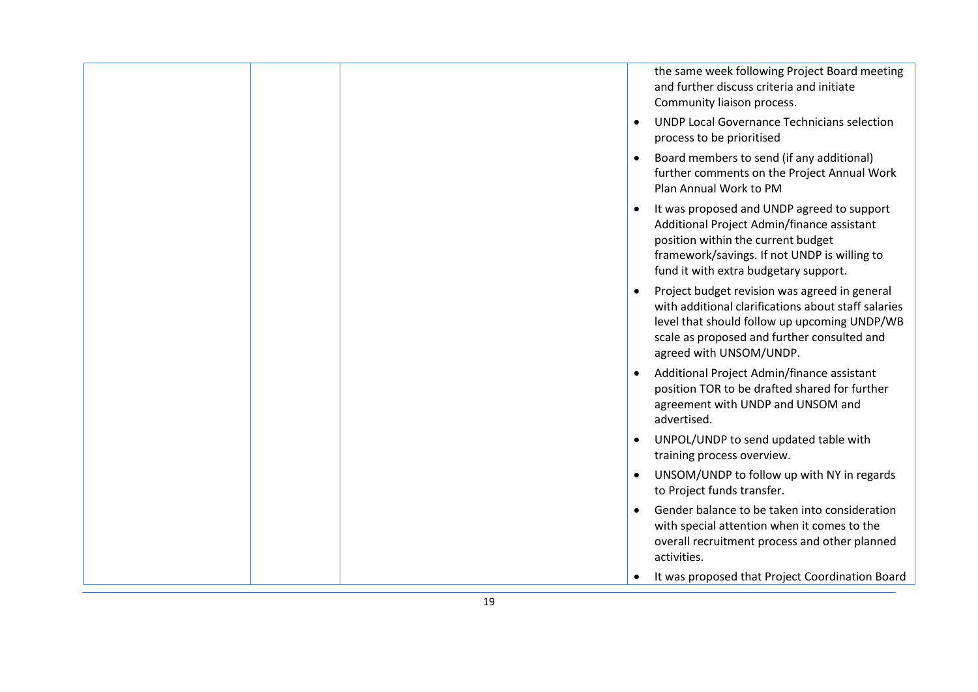|  | the same week following Project Board meeting<br>and further discuss criteria and initiate<br>Community liaison process.                                                                                                             |
|--|--------------------------------------------------------------------------------------------------------------------------------------------------------------------------------------------------------------------------------------|
|  | <b>UNDP Local Governance Technicians selection</b><br>$\bullet$<br>process to be prioritised                                                                                                                                         |
|  | Board members to send (if any additional)<br>$\bullet$<br>further comments on the Project Annual Work<br>Plan Annual Work to PM                                                                                                      |
|  | It was proposed and UNDP agreed to support<br>$\bullet$<br>Additional Project Admin/finance assistant<br>position within the current budget<br>framework/savings. If not UNDP is willing to<br>fund it with extra budgetary support. |
|  | Project budget revision was agreed in general<br>with additional clarifications about staff salaries<br>level that should follow up upcoming UNDP/WB<br>scale as proposed and further consulted and<br>agreed with UNSOM/UNDP.       |
|  | Additional Project Admin/finance assistant<br>$\bullet$<br>position TOR to be drafted shared for further<br>agreement with UNDP and UNSOM and<br>advertised.                                                                         |
|  | UNPOL/UNDP to send updated table with<br>$\bullet$<br>training process overview.                                                                                                                                                     |
|  | UNSOM/UNDP to follow up with NY in regards<br>$\bullet$<br>to Project funds transfer.                                                                                                                                                |
|  | Gender balance to be taken into consideration<br>$\bullet$<br>with special attention when it comes to the<br>overall recruitment process and other planned<br>activities.                                                            |
|  | It was proposed that Project Coordination Board                                                                                                                                                                                      |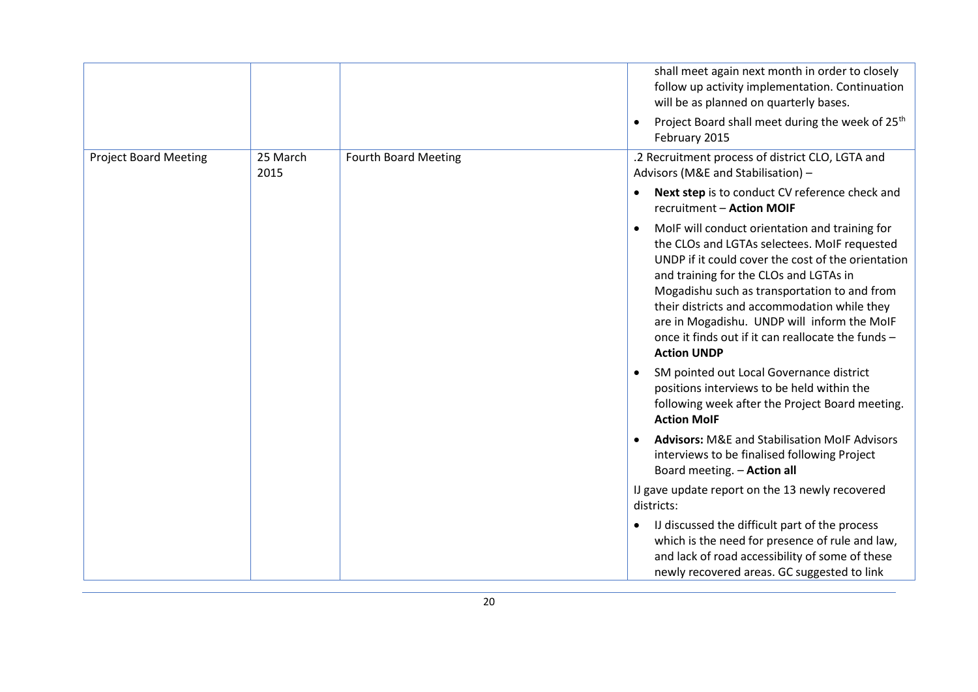|                              |                  |                             | shall meet again next month in order to closely<br>follow up activity implementation. Continuation<br>will be as planned on quarterly bases.                                                                                                                                                                                                                                                                                           |
|------------------------------|------------------|-----------------------------|----------------------------------------------------------------------------------------------------------------------------------------------------------------------------------------------------------------------------------------------------------------------------------------------------------------------------------------------------------------------------------------------------------------------------------------|
|                              |                  |                             | Project Board shall meet during the week of 25 <sup>th</sup><br>$\bullet$<br>February 2015                                                                                                                                                                                                                                                                                                                                             |
| <b>Project Board Meeting</b> | 25 March<br>2015 | <b>Fourth Board Meeting</b> | .2 Recruitment process of district CLO, LGTA and<br>Advisors (M&E and Stabilisation) -                                                                                                                                                                                                                                                                                                                                                 |
|                              |                  |                             | Next step is to conduct CV reference check and<br>$\bullet$<br>recruitment - Action MOIF                                                                                                                                                                                                                                                                                                                                               |
|                              |                  |                             | MoIF will conduct orientation and training for<br>$\bullet$<br>the CLOs and LGTAs selectees. MoIF requested<br>UNDP if it could cover the cost of the orientation<br>and training for the CLOs and LGTAs in<br>Mogadishu such as transportation to and from<br>their districts and accommodation while they<br>are in Mogadishu. UNDP will inform the MoIF<br>once it finds out if it can reallocate the funds -<br><b>Action UNDP</b> |
|                              |                  |                             | SM pointed out Local Governance district<br>positions interviews to be held within the<br>following week after the Project Board meeting.<br><b>Action MolF</b>                                                                                                                                                                                                                                                                        |
|                              |                  |                             | <b>Advisors: M&amp;E and Stabilisation MoIF Advisors</b><br>$\bullet$<br>interviews to be finalised following Project<br>Board meeting. - Action all                                                                                                                                                                                                                                                                                   |
|                              |                  |                             | IJ gave update report on the 13 newly recovered<br>districts:                                                                                                                                                                                                                                                                                                                                                                          |
|                              |                  |                             | IJ discussed the difficult part of the process<br>$\bullet$<br>which is the need for presence of rule and law,<br>and lack of road accessibility of some of these<br>newly recovered areas. GC suggested to link                                                                                                                                                                                                                       |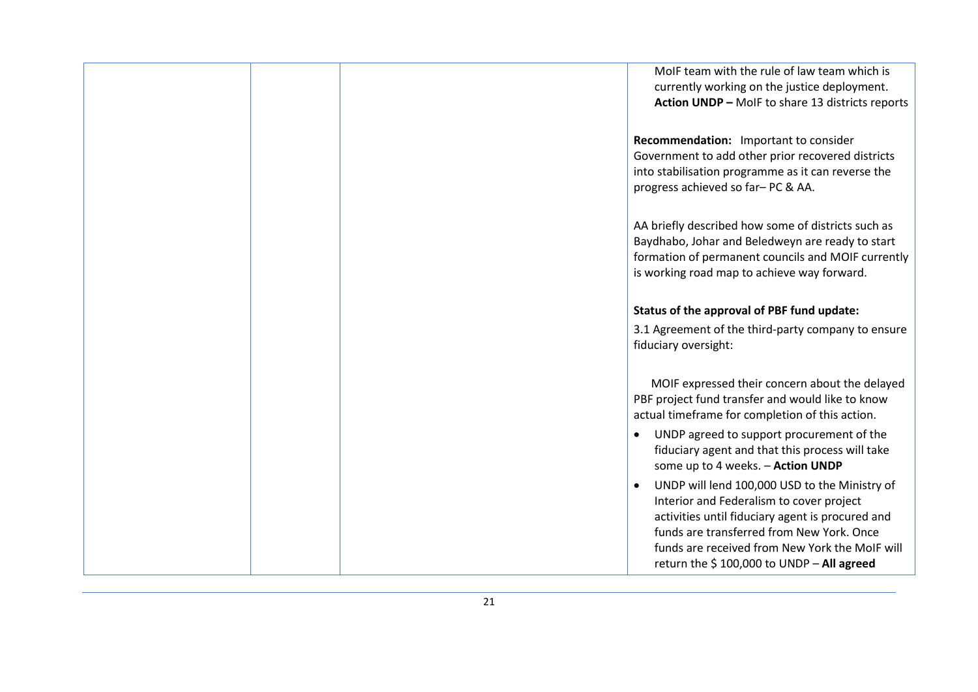| MolF team with the rule of law team which is<br>currently working on the justice deployment.<br>Action UNDP - MoIF to share 13 districts reports                                                                                                                                                       |
|--------------------------------------------------------------------------------------------------------------------------------------------------------------------------------------------------------------------------------------------------------------------------------------------------------|
| Recommendation: Important to consider<br>Government to add other prior recovered districts<br>into stabilisation programme as it can reverse the<br>progress achieved so far-PC & AA.                                                                                                                  |
| AA briefly described how some of districts such as<br>Baydhabo, Johar and Beledweyn are ready to start<br>formation of permanent councils and MOIF currently<br>is working road map to achieve way forward.                                                                                            |
| Status of the approval of PBF fund update:                                                                                                                                                                                                                                                             |
| 3.1 Agreement of the third-party company to ensure<br>fiduciary oversight:                                                                                                                                                                                                                             |
| MOIF expressed their concern about the delayed<br>PBF project fund transfer and would like to know<br>actual timeframe for completion of this action.                                                                                                                                                  |
| UNDP agreed to support procurement of the<br>$\bullet$<br>fiduciary agent and that this process will take<br>some up to 4 weeks. - Action UNDP                                                                                                                                                         |
| UNDP will lend 100,000 USD to the Ministry of<br>$\bullet$<br>Interior and Federalism to cover project<br>activities until fiduciary agent is procured and<br>funds are transferred from New York. Once<br>funds are received from New York the MoIF will<br>return the \$100,000 to UNDP - All agreed |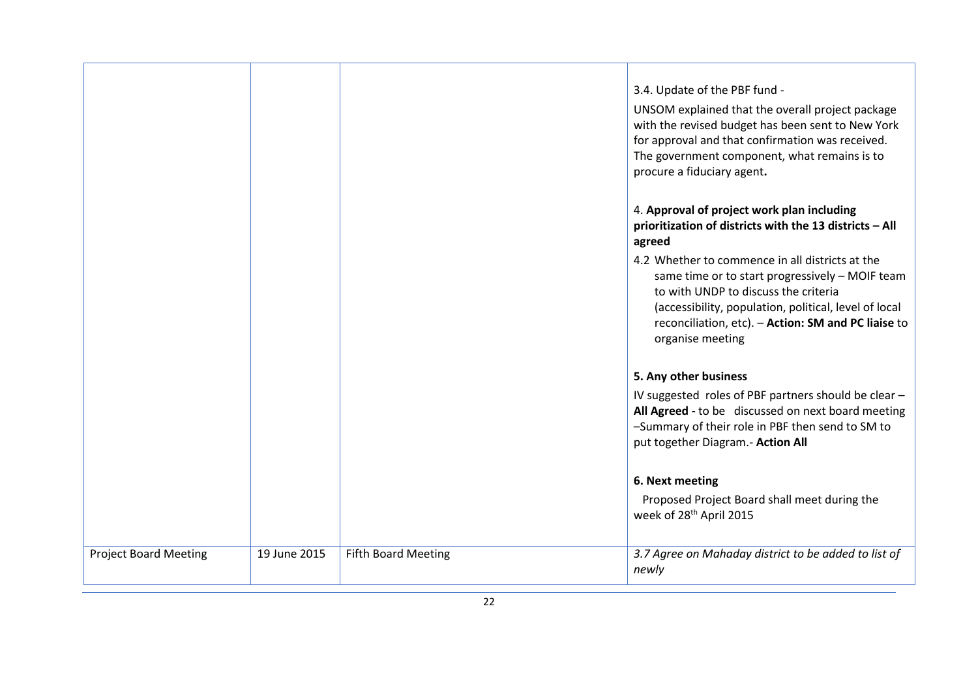|                              |              |                            | 3.4. Update of the PBF fund -                                                                                |
|------------------------------|--------------|----------------------------|--------------------------------------------------------------------------------------------------------------|
|                              |              |                            | UNSOM explained that the overall project package<br>with the revised budget has been sent to New York        |
|                              |              |                            | for approval and that confirmation was received.                                                             |
|                              |              |                            | The government component, what remains is to                                                                 |
|                              |              |                            | procure a fiduciary agent.                                                                                   |
|                              |              |                            | 4. Approval of project work plan including                                                                   |
|                              |              |                            | prioritization of districts with the 13 districts - All<br>agreed                                            |
|                              |              |                            | 4.2 Whether to commence in all districts at the<br>same time or to start progressively - MOIF team           |
|                              |              |                            | to with UNDP to discuss the criteria                                                                         |
|                              |              |                            | (accessibility, population, political, level of local<br>reconciliation, etc). - Action: SM and PC liaise to |
|                              |              |                            | organise meeting                                                                                             |
|                              |              |                            | 5. Any other business                                                                                        |
|                              |              |                            | IV suggested roles of PBF partners should be clear -                                                         |
|                              |              |                            | All Agreed - to be discussed on next board meeting<br>-Summary of their role in PBF then send to SM to       |
|                              |              |                            | put together Diagram.- Action All                                                                            |
|                              |              |                            |                                                                                                              |
|                              |              |                            | 6. Next meeting                                                                                              |
|                              |              |                            | Proposed Project Board shall meet during the<br>week of 28 <sup>th</sup> April 2015                          |
| <b>Project Board Meeting</b> | 19 June 2015 | <b>Fifth Board Meeting</b> | 3.7 Agree on Mahaday district to be added to list of                                                         |
|                              |              |                            | newly                                                                                                        |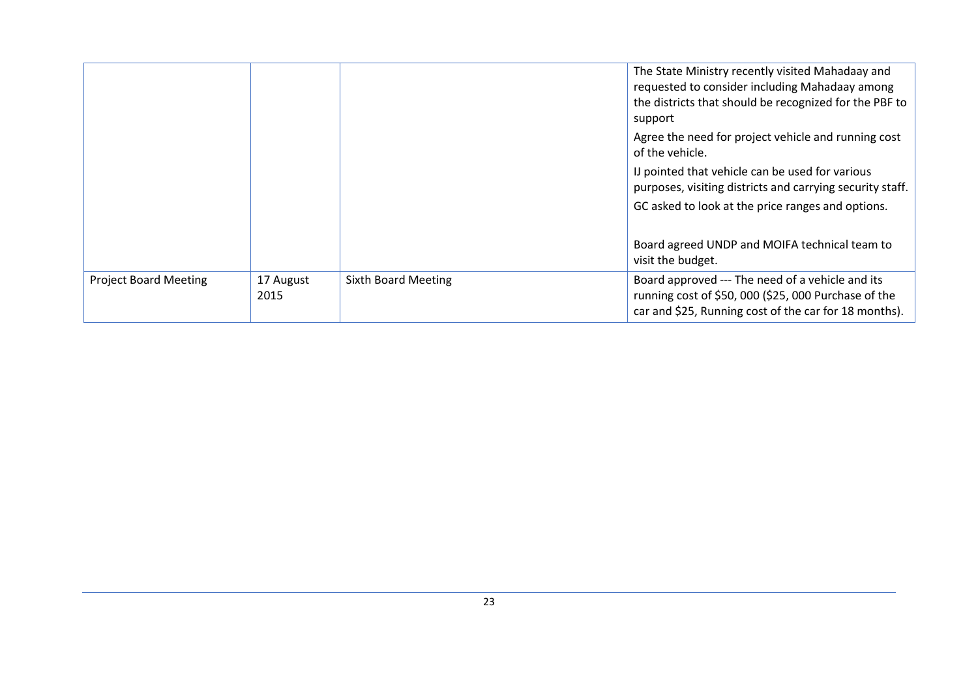|                              |                   |                            | The State Ministry recently visited Mahadaay and<br>requested to consider including Mahadaay among<br>the districts that should be recognized for the PBF to<br>support |
|------------------------------|-------------------|----------------------------|-------------------------------------------------------------------------------------------------------------------------------------------------------------------------|
|                              |                   |                            | Agree the need for project vehicle and running cost<br>of the vehicle.                                                                                                  |
|                              |                   |                            | IJ pointed that vehicle can be used for various<br>purposes, visiting districts and carrying security staff.                                                            |
|                              |                   |                            | GC asked to look at the price ranges and options.                                                                                                                       |
|                              |                   |                            | Board agreed UNDP and MOIFA technical team to<br>visit the budget.                                                                                                      |
| <b>Project Board Meeting</b> | 17 August<br>2015 | <b>Sixth Board Meeting</b> | Board approved --- The need of a vehicle and its<br>running cost of \$50, 000 (\$25, 000 Purchase of the<br>car and \$25, Running cost of the car for 18 months).       |